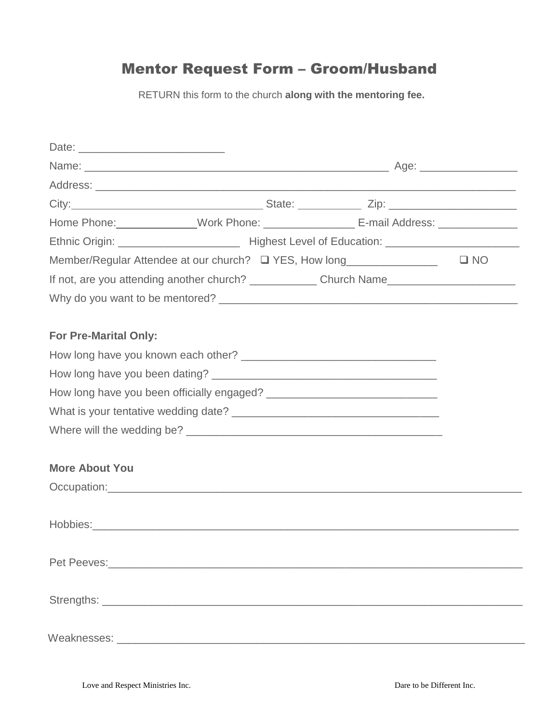## Mentor Request Form – Groom/Husband

RETURN this form to the church **along with the mentoring fee.**

|                              |                                                                         | Home Phone: ______________Work Phone: _______________________ E-mail Address: _____________________ |
|------------------------------|-------------------------------------------------------------------------|-----------------------------------------------------------------------------------------------------|
|                              |                                                                         |                                                                                                     |
|                              | Member/Regular Attendee at our church? □ YES, How long_________________ | $\square$ NO                                                                                        |
|                              |                                                                         | If not, are you attending another church? Church Name                                               |
|                              |                                                                         |                                                                                                     |
|                              |                                                                         |                                                                                                     |
| <b>For Pre-Marital Only:</b> |                                                                         |                                                                                                     |
|                              |                                                                         |                                                                                                     |
|                              |                                                                         |                                                                                                     |
|                              |                                                                         |                                                                                                     |
|                              |                                                                         |                                                                                                     |
|                              |                                                                         |                                                                                                     |
|                              |                                                                         |                                                                                                     |
| <b>More About You</b>        |                                                                         |                                                                                                     |
|                              |                                                                         |                                                                                                     |
|                              |                                                                         |                                                                                                     |
|                              |                                                                         |                                                                                                     |
|                              |                                                                         |                                                                                                     |
|                              |                                                                         |                                                                                                     |
|                              |                                                                         |                                                                                                     |